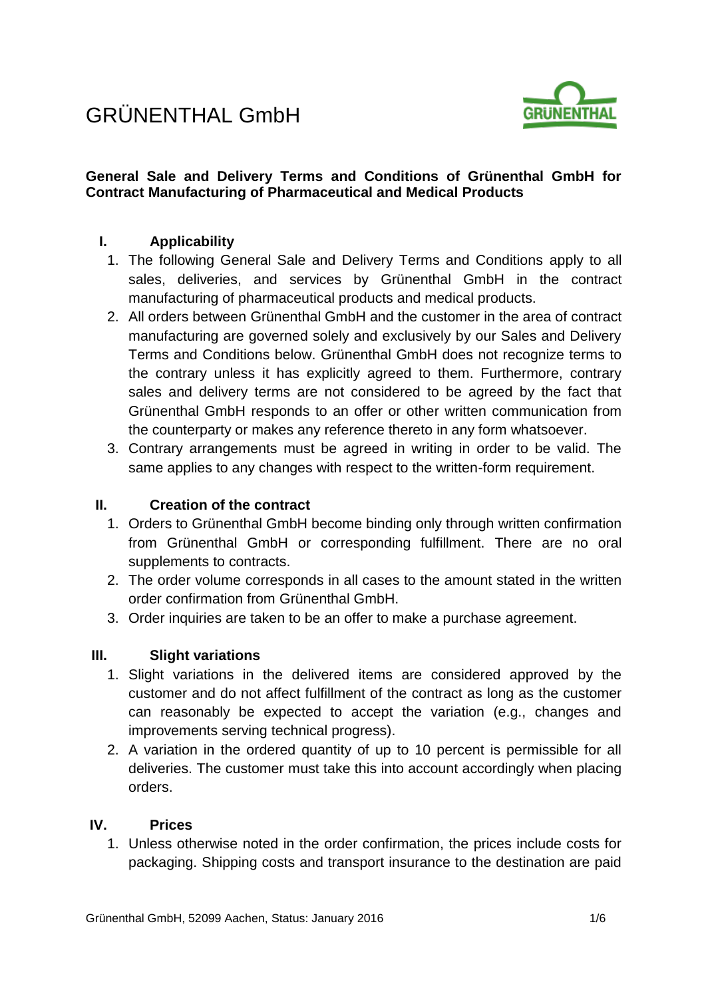# GRÜNENTHAL GmbH



# **General Sale and Delivery Terms and Conditions of Grünenthal GmbH for Contract Manufacturing of Pharmaceutical and Medical Products**

# **I. Applicability**

- 1. The following General Sale and Delivery Terms and Conditions apply to all sales, deliveries, and services by Grünenthal GmbH in the contract manufacturing of pharmaceutical products and medical products.
- 2. All orders between Grünenthal GmbH and the customer in the area of contract manufacturing are governed solely and exclusively by our Sales and Delivery Terms and Conditions below. Grünenthal GmbH does not recognize terms to the contrary unless it has explicitly agreed to them. Furthermore, contrary sales and delivery terms are not considered to be agreed by the fact that Grünenthal GmbH responds to an offer or other written communication from the counterparty or makes any reference thereto in any form whatsoever.
- 3. Contrary arrangements must be agreed in writing in order to be valid. The same applies to any changes with respect to the written-form requirement.

# **II. Creation of the contract**

- 1. Orders to Grünenthal GmbH become binding only through written confirmation from Grünenthal GmbH or corresponding fulfillment. There are no oral supplements to contracts.
- 2. The order volume corresponds in all cases to the amount stated in the written order confirmation from Grünenthal GmbH.
- 3. Order inquiries are taken to be an offer to make a purchase agreement.

# **III. Slight variations**

- 1. Slight variations in the delivered items are considered approved by the customer and do not affect fulfillment of the contract as long as the customer can reasonably be expected to accept the variation (e.g., changes and improvements serving technical progress).
- 2. A variation in the ordered quantity of up to 10 percent is permissible for all deliveries. The customer must take this into account accordingly when placing orders.

# **IV. Prices**

1. Unless otherwise noted in the order confirmation, the prices include costs for packaging. Shipping costs and transport insurance to the destination are paid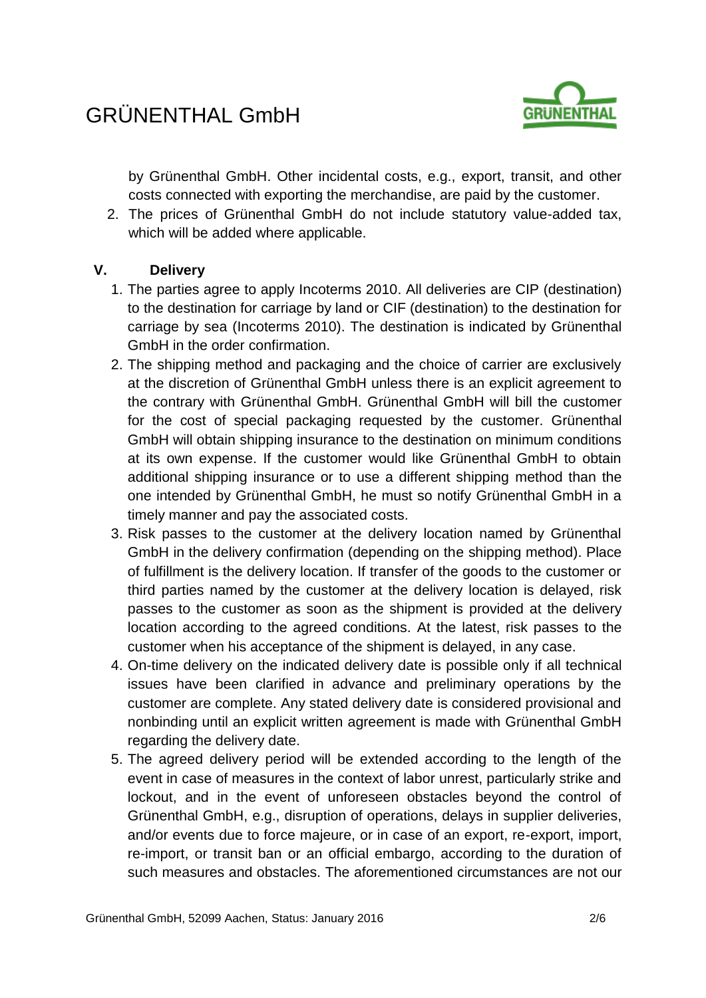

by Grünenthal GmbH. Other incidental costs, e.g., export, transit, and other costs connected with exporting the merchandise, are paid by the customer.

2. The prices of Grünenthal GmbH do not include statutory value-added tax, which will be added where applicable.

# **V. Delivery**

- 1. The parties agree to apply Incoterms 2010. All deliveries are CIP (destination) to the destination for carriage by land or CIF (destination) to the destination for carriage by sea (Incoterms 2010). The destination is indicated by Grünenthal GmbH in the order confirmation.
- 2. The shipping method and packaging and the choice of carrier are exclusively at the discretion of Grünenthal GmbH unless there is an explicit agreement to the contrary with Grünenthal GmbH. Grünenthal GmbH will bill the customer for the cost of special packaging requested by the customer. Grünenthal GmbH will obtain shipping insurance to the destination on minimum conditions at its own expense. If the customer would like Grünenthal GmbH to obtain additional shipping insurance or to use a different shipping method than the one intended by Grünenthal GmbH, he must so notify Grünenthal GmbH in a timely manner and pay the associated costs.
- 3. Risk passes to the customer at the delivery location named by Grünenthal GmbH in the delivery confirmation (depending on the shipping method). Place of fulfillment is the delivery location. If transfer of the goods to the customer or third parties named by the customer at the delivery location is delayed, risk passes to the customer as soon as the shipment is provided at the delivery location according to the agreed conditions. At the latest, risk passes to the customer when his acceptance of the shipment is delayed, in any case.
- 4. On-time delivery on the indicated delivery date is possible only if all technical issues have been clarified in advance and preliminary operations by the customer are complete. Any stated delivery date is considered provisional and nonbinding until an explicit written agreement is made with Grünenthal GmbH regarding the delivery date.
- 5. The agreed delivery period will be extended according to the length of the event in case of measures in the context of labor unrest, particularly strike and lockout, and in the event of unforeseen obstacles beyond the control of Grünenthal GmbH, e.g., disruption of operations, delays in supplier deliveries, and/or events due to force majeure, or in case of an export, re-export, import, re-import, or transit ban or an official embargo, according to the duration of such measures and obstacles. The aforementioned circumstances are not our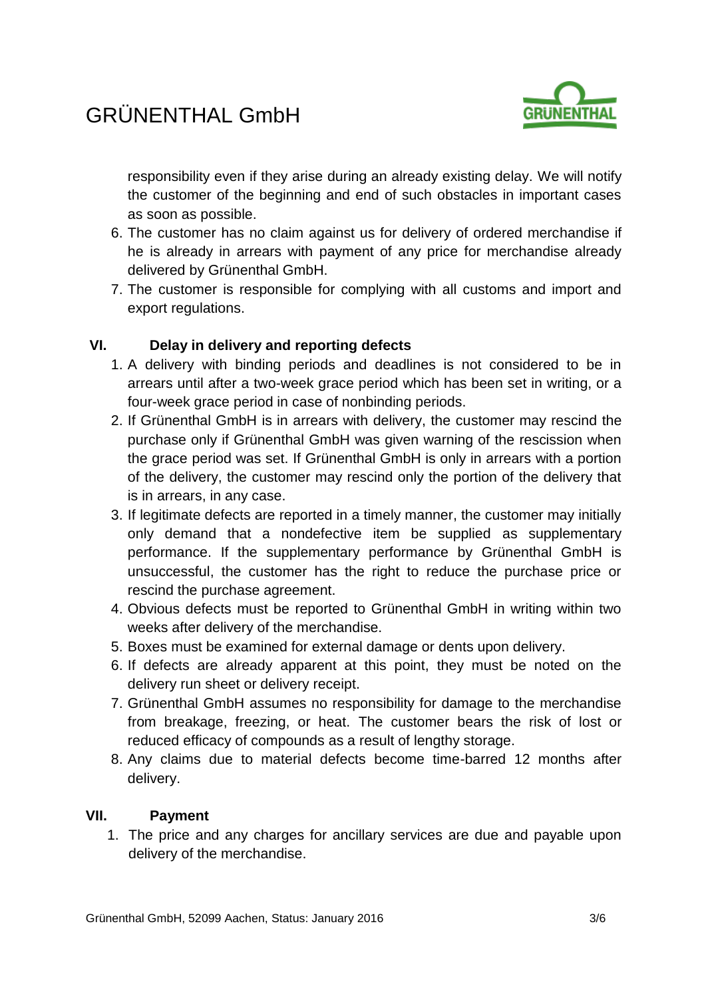# GRÜNENTHAL GmbH



responsibility even if they arise during an already existing delay. We will notify the customer of the beginning and end of such obstacles in important cases as soon as possible.

- 6. The customer has no claim against us for delivery of ordered merchandise if he is already in arrears with payment of any price for merchandise already delivered by Grünenthal GmbH.
- 7. The customer is responsible for complying with all customs and import and export regulations.

# **VI. Delay in delivery and reporting defects**

- 1. A delivery with binding periods and deadlines is not considered to be in arrears until after a two-week grace period which has been set in writing, or a four-week grace period in case of nonbinding periods.
- 2. If Grünenthal GmbH is in arrears with delivery, the customer may rescind the purchase only if Grünenthal GmbH was given warning of the rescission when the grace period was set. If Grünenthal GmbH is only in arrears with a portion of the delivery, the customer may rescind only the portion of the delivery that is in arrears, in any case.
- 3. If legitimate defects are reported in a timely manner, the customer may initially only demand that a nondefective item be supplied as supplementary performance. If the supplementary performance by Grünenthal GmbH is unsuccessful, the customer has the right to reduce the purchase price or rescind the purchase agreement.
- 4. Obvious defects must be reported to Grünenthal GmbH in writing within two weeks after delivery of the merchandise.
- 5. Boxes must be examined for external damage or dents upon delivery.
- 6. If defects are already apparent at this point, they must be noted on the delivery run sheet or delivery receipt.
- 7. Grünenthal GmbH assumes no responsibility for damage to the merchandise from breakage, freezing, or heat. The customer bears the risk of lost or reduced efficacy of compounds as a result of lengthy storage.
- 8. Any claims due to material defects become time-barred 12 months after delivery.

#### **VII. Payment**

1. The price and any charges for ancillary services are due and payable upon delivery of the merchandise.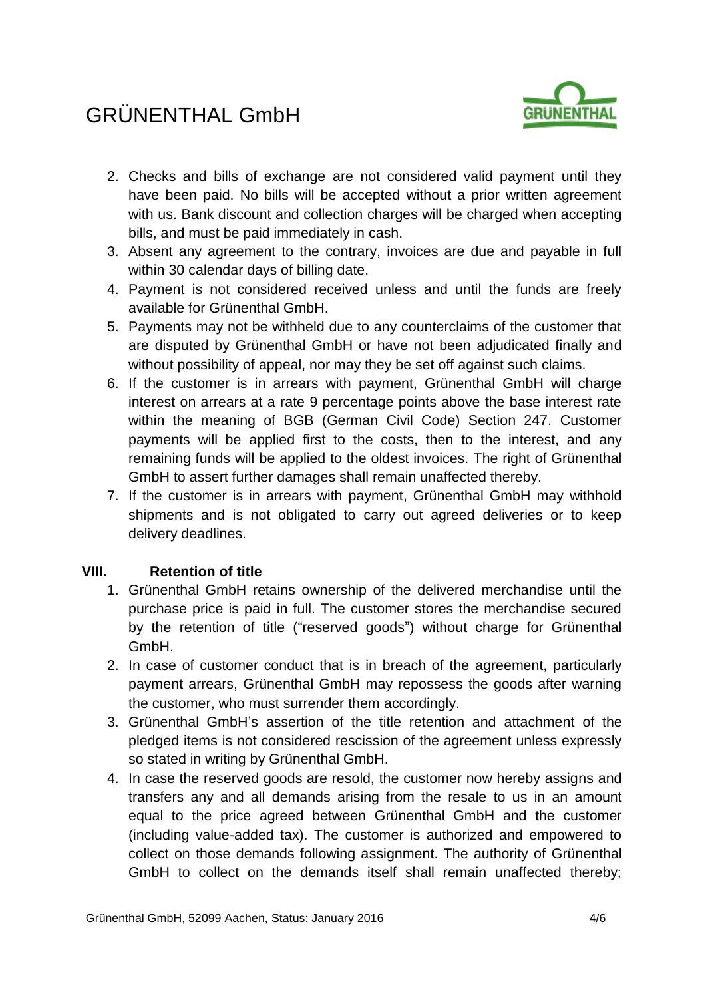# GRÜNENTHAL GmbH



- 2. Checks and bills of exchange are not considered valid payment until they have been paid. No bills will be accepted without a prior written agreement with us. Bank discount and collection charges will be charged when accepting bills, and must be paid immediately in cash.
- 3. Absent any agreement to the contrary, invoices are due and payable in full within 30 calendar days of billing date.
- 4. Payment is not considered received unless and until the funds are freely available for Grünenthal GmbH.
- 5. Payments may not be withheld due to any counterclaims of the customer that are disputed by Grünenthal GmbH or have not been adjudicated finally and without possibility of appeal, nor may they be set off against such claims.
- 6. If the customer is in arrears with payment, Grünenthal GmbH will charge interest on arrears at a rate 9 percentage points above the base interest rate within the meaning of BGB (German Civil Code) Section 247. Customer payments will be applied first to the costs, then to the interest, and any remaining funds will be applied to the oldest invoices. The right of Grünenthal GmbH to assert further damages shall remain unaffected thereby.
- 7. If the customer is in arrears with payment, Grünenthal GmbH may withhold shipments and is not obligated to carry out agreed deliveries or to keep delivery deadlines.

# **VIII. Retention of title**

- 1. Grünenthal GmbH retains ownership of the delivered merchandise until the purchase price is paid in full. The customer stores the merchandise secured by the retention of title ("reserved goods") without charge for Grünenthal GmbH.
- 2. In case of customer conduct that is in breach of the agreement, particularly payment arrears, Grünenthal GmbH may repossess the goods after warning the customer, who must surrender them accordingly.
- 3. Grünenthal GmbH's assertion of the title retention and attachment of the pledged items is not considered rescission of the agreement unless expressly so stated in writing by Grünenthal GmbH.
- 4. In case the reserved goods are resold, the customer now hereby assigns and transfers any and all demands arising from the resale to us in an amount equal to the price agreed between Grünenthal GmbH and the customer (including value-added tax). The customer is authorized and empowered to collect on those demands following assignment. The authority of Grünenthal GmbH to collect on the demands itself shall remain unaffected thereby;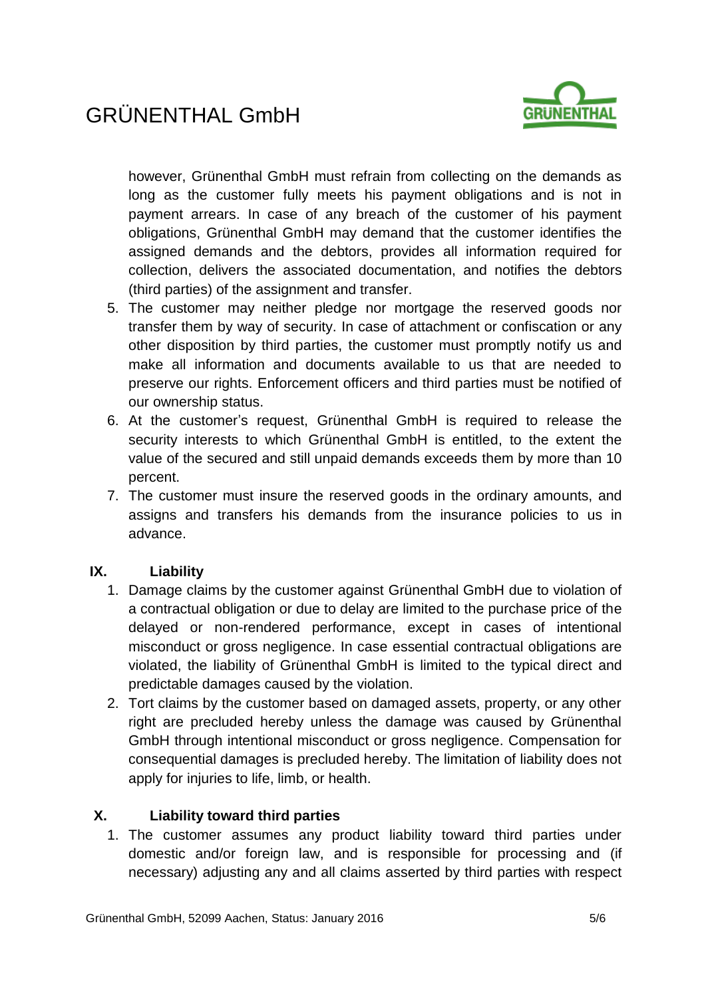

however, Grünenthal GmbH must refrain from collecting on the demands as long as the customer fully meets his payment obligations and is not in payment arrears. In case of any breach of the customer of his payment obligations, Grünenthal GmbH may demand that the customer identifies the assigned demands and the debtors, provides all information required for collection, delivers the associated documentation, and notifies the debtors (third parties) of the assignment and transfer.

- 5. The customer may neither pledge nor mortgage the reserved goods nor transfer them by way of security. In case of attachment or confiscation or any other disposition by third parties, the customer must promptly notify us and make all information and documents available to us that are needed to preserve our rights. Enforcement officers and third parties must be notified of our ownership status.
- 6. At the customer's request, Grünenthal GmbH is required to release the security interests to which Grünenthal GmbH is entitled, to the extent the value of the secured and still unpaid demands exceeds them by more than 10 percent.
- 7. The customer must insure the reserved goods in the ordinary amounts, and assigns and transfers his demands from the insurance policies to us in advance.

# **IX. Liability**

- 1. Damage claims by the customer against Grünenthal GmbH due to violation of a contractual obligation or due to delay are limited to the purchase price of the delayed or non-rendered performance, except in cases of intentional misconduct or gross negligence. In case essential contractual obligations are violated, the liability of Grünenthal GmbH is limited to the typical direct and predictable damages caused by the violation.
- 2. Tort claims by the customer based on damaged assets, property, or any other right are precluded hereby unless the damage was caused by Grünenthal GmbH through intentional misconduct or gross negligence. Compensation for consequential damages is precluded hereby. The limitation of liability does not apply for injuries to life, limb, or health.

# **X. Liability toward third parties**

1. The customer assumes any product liability toward third parties under domestic and/or foreign law, and is responsible for processing and (if necessary) adjusting any and all claims asserted by third parties with respect